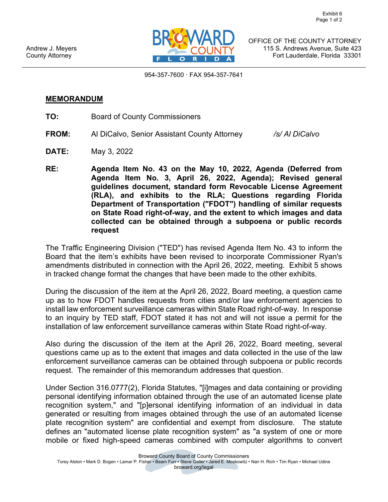

OFFICE OF THE COUNTY ATTORNEY 115 S. Andrews Avenue, Suite 423 Fort Lauderdale, Florida 33301

954-357-7600 · FAX 954-357-7641

## **MEMORANDUM**

- **TO:** Board of County Commissioners
- **FROM:** Al DiCalvo, Senior Assistant County Attorney */s/ Al DiCalvo*
- **DATE:** May 3, 2022
- **RE: Agenda Item No. 43 on the May 10, 2022, Agenda (Deferred from Agenda Item No. 3, April 26, 2022, Agenda); Revised general guidelines document, standard form Revocable License Agreement (RLA), and exhibits to the RLA; Questions regarding Florida Department of Transportation ("FDOT") handling of similar requests on State Road right-of-way, and the extent to which images and data collected can be obtained through a subpoena or public records request**

The Traffic Engineering Division ("TED") has revised Agenda Item No. 43 to inform the Board that the item's exhibits have been revised to incorporate Commissioner Ryan's amendments distributed in connection with the April 26, 2022, meeting. Exhibit 5 shows in tracked change format the changes that have been made to the other exhibits.

During the discussion of the item at the April 26, 2022, Board meeting, a question came up as to how FDOT handles requests from cities and/or law enforcement agencies to install law enforcement surveillance cameras within State Road right-of-way. In response to an inquiry by TED staff, FDOT stated it has not and will not issue a permit for the installation of law enforcement surveillance cameras within State Road right-of-way.

Also during the discussion of the item at the April 26, 2022, Board meeting, several questions came up as to the extent that images and data collected in the use of the law enforcement surveillance cameras can be obtained through subpoena or public records request. The remainder of this memorandum addresses that question.

Under Section 316.0777(2), Florida Statutes, "[i]mages and data containing or providing personal identifying information obtained through the use of an automated license plate recognition system," and "[p]ersonal identifying information of an individual in data generated or resulting from images obtained through the use of an automated license plate recognition system" are confidential and exempt from disclosure. The statute defines an "automated license plate recognition system" as "a system of one or more mobile or fixed high-speed cameras combined with computer algorithms to convert